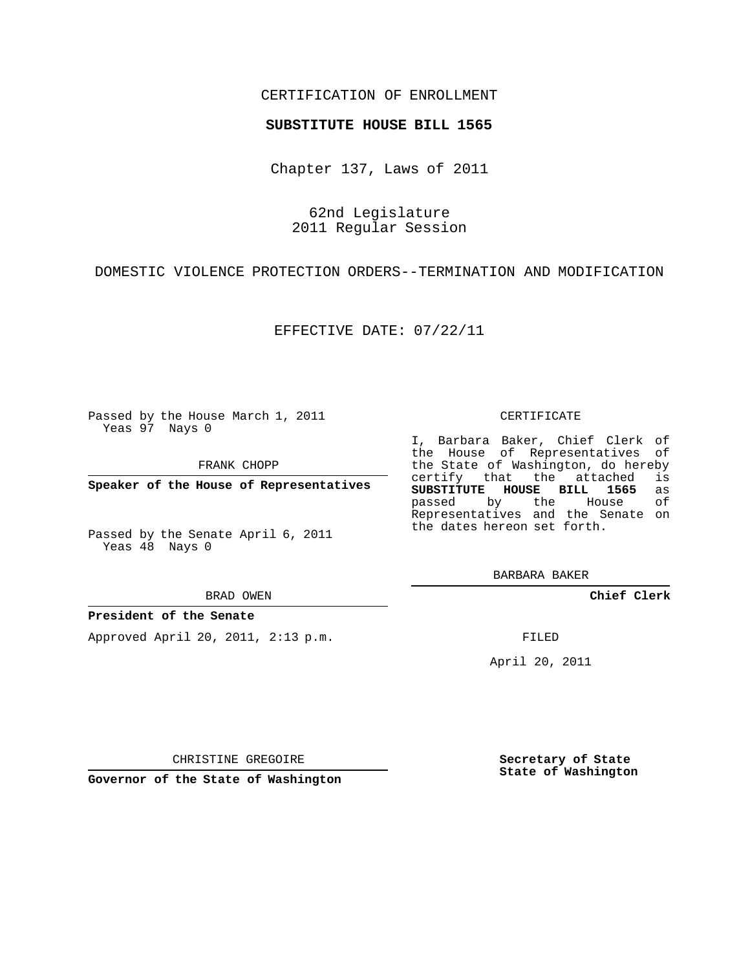### CERTIFICATION OF ENROLLMENT

#### **SUBSTITUTE HOUSE BILL 1565**

Chapter 137, Laws of 2011

62nd Legislature 2011 Regular Session

DOMESTIC VIOLENCE PROTECTION ORDERS--TERMINATION AND MODIFICATION

EFFECTIVE DATE: 07/22/11

Passed by the House March 1, 2011 Yeas 97 Nays 0

FRANK CHOPP

**Speaker of the House of Representatives**

Passed by the Senate April 6, 2011 Yeas 48 Nays 0

BRAD OWEN

#### **President of the Senate**

Approved April 20, 2011, 2:13 p.m.

#### CERTIFICATE

I, Barbara Baker, Chief Clerk of the House of Representatives of the State of Washington, do hereby<br>certify that the attached is certify that the attached **SUBSTITUTE HOUSE BILL 1565** as passed by the House Representatives and the Senate on the dates hereon set forth.

BARBARA BAKER

**Chief Clerk**

FILED

April 20, 2011

CHRISTINE GREGOIRE

**Governor of the State of Washington**

**Secretary of State State of Washington**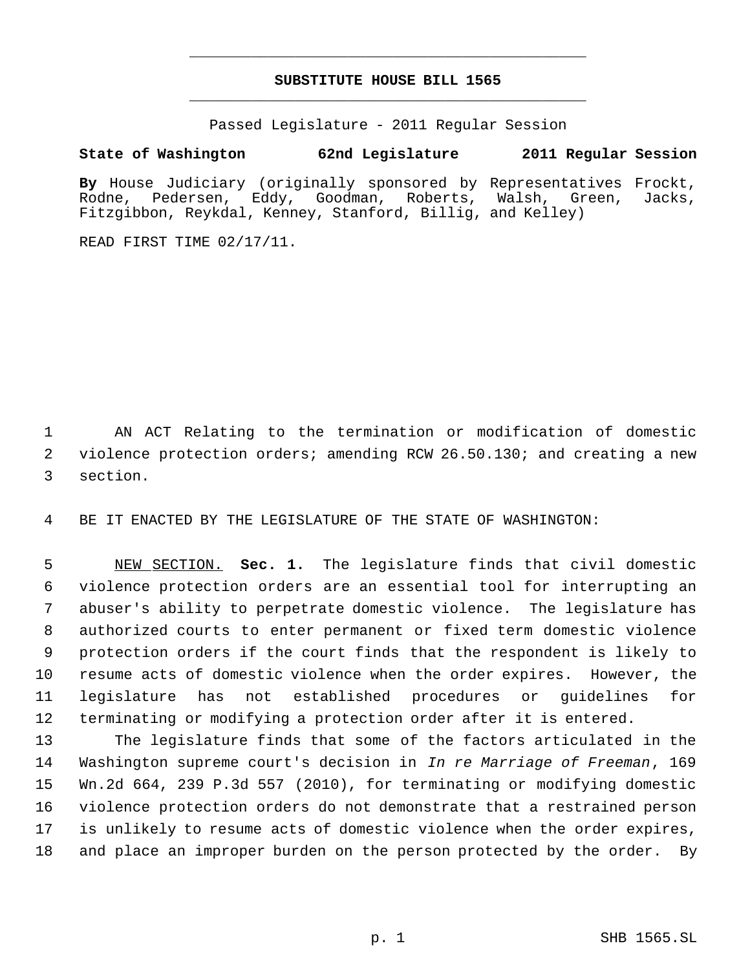# **SUBSTITUTE HOUSE BILL 1565** \_\_\_\_\_\_\_\_\_\_\_\_\_\_\_\_\_\_\_\_\_\_\_\_\_\_\_\_\_\_\_\_\_\_\_\_\_\_\_\_\_\_\_\_\_

\_\_\_\_\_\_\_\_\_\_\_\_\_\_\_\_\_\_\_\_\_\_\_\_\_\_\_\_\_\_\_\_\_\_\_\_\_\_\_\_\_\_\_\_\_

Passed Legislature - 2011 Regular Session

## **State of Washington 62nd Legislature 2011 Regular Session**

**By** House Judiciary (originally sponsored by Representatives Frockt, Rodne, Pedersen, Eddy, Goodman, Roberts, Walsh, Green, Jacks, Fitzgibbon, Reykdal, Kenney, Stanford, Billig, and Kelley)

READ FIRST TIME 02/17/11.

 AN ACT Relating to the termination or modification of domestic violence protection orders; amending RCW 26.50.130; and creating a new section.

BE IT ENACTED BY THE LEGISLATURE OF THE STATE OF WASHINGTON:

 NEW SECTION. **Sec. 1.** The legislature finds that civil domestic violence protection orders are an essential tool for interrupting an abuser's ability to perpetrate domestic violence. The legislature has authorized courts to enter permanent or fixed term domestic violence protection orders if the court finds that the respondent is likely to resume acts of domestic violence when the order expires. However, the legislature has not established procedures or guidelines for terminating or modifying a protection order after it is entered.

 The legislature finds that some of the factors articulated in the Washington supreme court's decision in *In re Marriage of Freeman*, 169 Wn.2d 664, 239 P.3d 557 (2010), for terminating or modifying domestic violence protection orders do not demonstrate that a restrained person is unlikely to resume acts of domestic violence when the order expires, and place an improper burden on the person protected by the order. By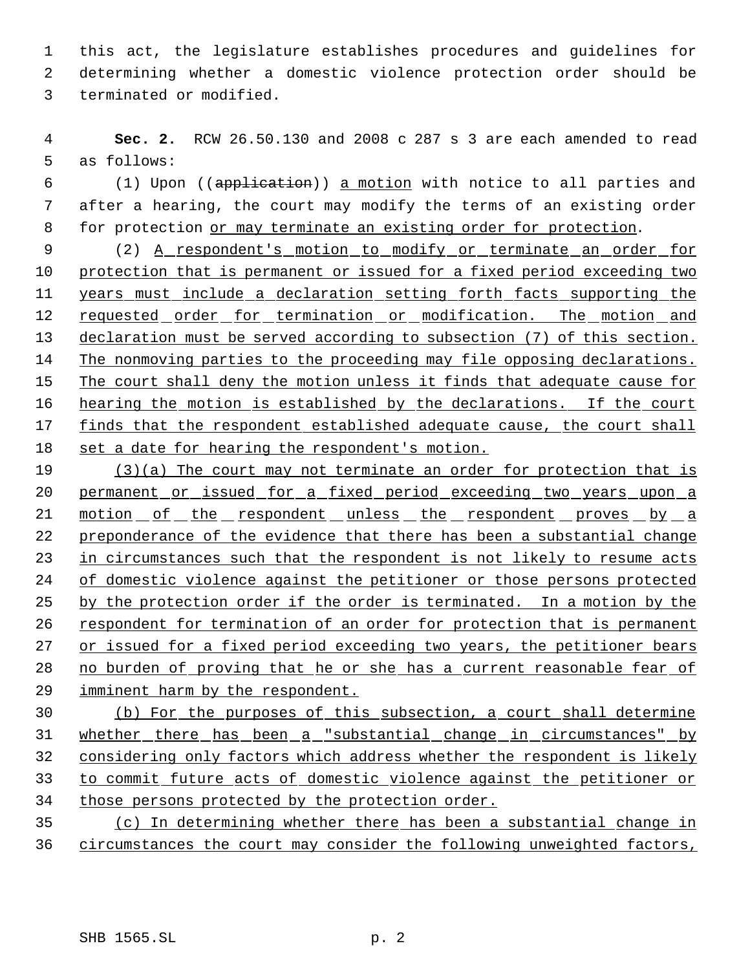this act, the legislature establishes procedures and guidelines for determining whether a domestic violence protection order should be terminated or modified.

 **Sec. 2.** RCW 26.50.130 and 2008 c 287 s 3 are each amended to read as follows:

 (1) Upon ((application)) a motion with notice to all parties and after a hearing, the court may modify the terms of an existing order 8 for protection or may terminate an existing order for protection.

9 (2) A respondent's motion to modify or terminate an order for protection that is permanent or issued for a fixed period exceeding two years must include a declaration setting forth facts supporting the 12 requested order for termination or modification. The motion and declaration must be served according to subsection (7) of this section. 14 The nonmoving parties to the proceeding may file opposing declarations. 15 The court shall deny the motion unless it finds that adequate cause for 16 hearing the motion is established by the declarations. If the court finds that the respondent established adequate cause, the court shall set a date for hearing the respondent's motion.

19 (3)(a) The court may not terminate an order for protection that is 20 permanent or issued for a fixed period exceeding two years upon a 21 motion of the respondent unless the respondent proves by a preponderance of the evidence that there has been a substantial change 23 in circumstances such that the respondent is not likely to resume acts of domestic violence against the petitioner or those persons protected by the protection order if the order is terminated. In a motion by the respondent for termination of an order for protection that is permanent 27 or issued for a fixed period exceeding two years, the petitioner bears no burden of proving that he or she has a current reasonable fear of imminent harm by the respondent.

 (b) For the purposes of this subsection, a court shall determine whether there has been a "substantial change in circumstances" by considering only factors which address whether the respondent is likely to commit future acts of domestic violence against the petitioner or 34 those persons protected by the protection order.

 (c) In determining whether there has been a substantial change in circumstances the court may consider the following unweighted factors,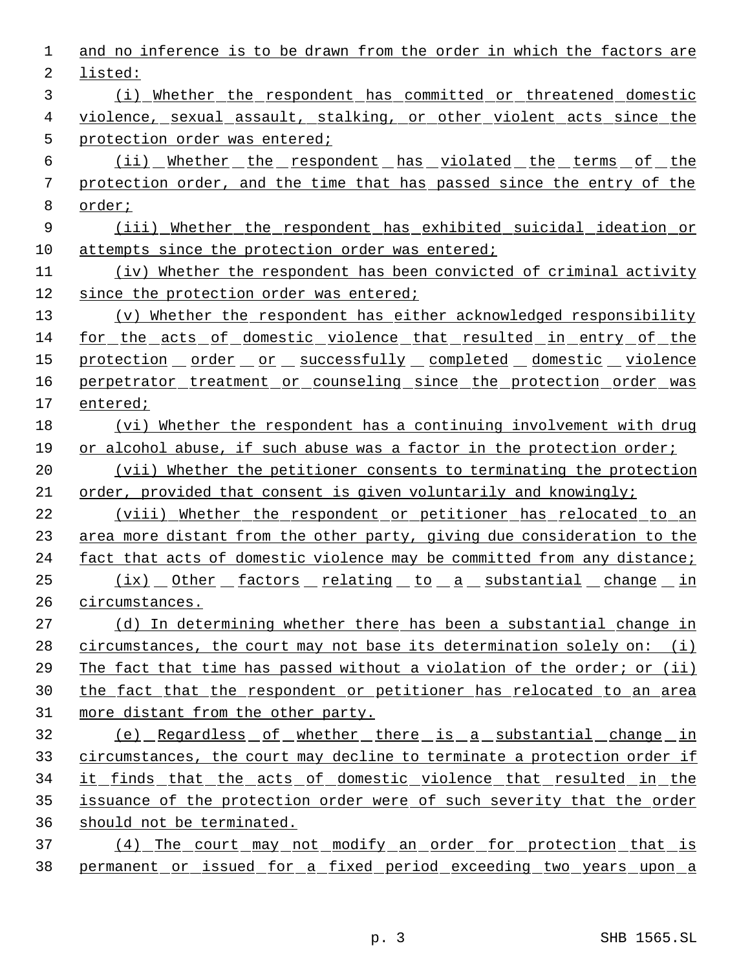and no inference is to be drawn from the order in which the factors are listed: (i) Whether the respondent has committed or threatened domestic 4 violence, sexual assault, stalking, or other violent acts since the protection order was entered; 6 (ii) Whether the respondent has violated the terms of the protection order, and the time that has passed since the entry of the order; (iii) Whether the respondent has exhibited suicidal ideation or attempts since the protection order was entered; 11 (iv) Whether the respondent has been convicted of criminal activity 12 since the protection order was entered; (v) Whether the respondent has either acknowledged responsibility for the acts of domestic violence that resulted in entry of the 15 protection order or successfully completed domestic violence 16 perpetrator treatment or counseling since the protection order was entered; 18 (vi) Whether the respondent has a continuing involvement with drug 19 or alcohol abuse, if such abuse was a factor in the protection order; (vii) Whether the petitioner consents to terminating the protection 21 order, provided that consent is given voluntarily and knowingly; (viii) Whether the respondent or petitioner has relocated to an area more distant from the other party, giving due consideration to the fact that acts of domestic violence may be committed from any distance; (ix) Other factors relating to a substantial change in circumstances. 27 (d) In determining whether there has been a substantial change in circumstances, the court may not base its determination solely on: (i) The fact that time has passed without a violation of the order; or (ii) the fact that the respondent or petitioner has relocated to an area 31 more distant from the other party. (e) Regardless of whether there is a substantial change in circumstances, the court may decline to terminate a protection order if it finds that the acts of domestic violence that resulted in the issuance of the protection order were of such severity that the order should not be terminated. (4) The court may not modify an order for protection that is permanent or issued for a fixed period exceeding two years upon a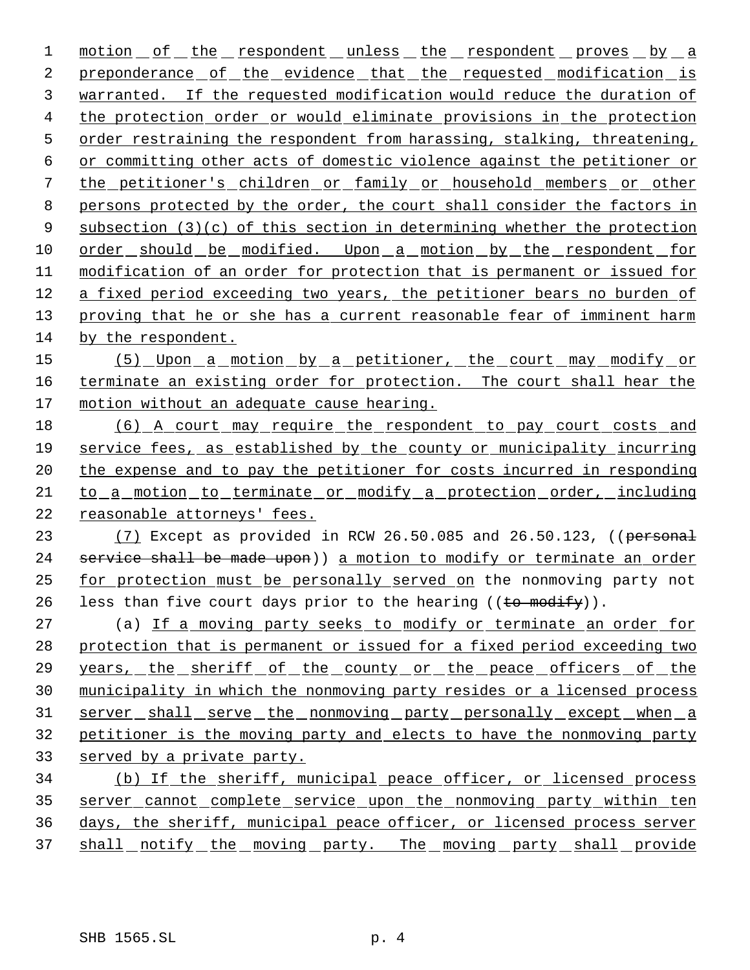1 motion of the respondent unless the respondent proves by a 2 preponderance of the evidence that the requested modification is warranted. If the requested modification would reduce the duration of the protection order or would eliminate provisions in the protection 5 order restraining the respondent from harassing, stalking, threatening, or committing other acts of domestic violence against the petitioner or the petitioner's children or family or household members or other persons protected by the order, the court shall consider the factors in 9 subsection (3)(c) of this section in determining whether the protection order should be modified. Upon a motion by the respondent for modification of an order for protection that is permanent or issued for a fixed period exceeding two years, the petitioner bears no burden of proving that he or she has a current reasonable fear of imminent harm by the respondent.

15 (5) Upon a motion by a petitioner, the court may modify or 16 terminate an existing order for protection. The court shall hear the 17 motion without an adequate cause hearing.

 (6) A court may require the respondent to pay court costs and service fees, as established by the county or municipality incurring the expense and to pay the petitioner for costs incurred in responding to a motion to terminate or modify a protection order, including reasonable attorneys' fees.

23 (7) Except as provided in RCW 26.50.085 and 26.50.123, ((personal 24 service shall be made upon) a motion to modify or terminate an order for protection must be personally served on the nonmoving party not 26 less than five court days prior to the hearing  $((to \text{modify}))$ .

27 (a) If a moving party seeks to modify or terminate an order for protection that is permanent or issued for a fixed period exceeding two years, the sheriff of the county or the peace officers of the municipality in which the nonmoving party resides or a licensed process 31 server shall serve the nonmoving party personally except when a petitioner is the moving party and elects to have the nonmoving party served by a private party.

 (b) If the sheriff, municipal peace officer, or licensed process server cannot complete service upon the nonmoving party within ten days, the sheriff, municipal peace officer, or licensed process server 37 shall notify the moving party. The moving party shall provide